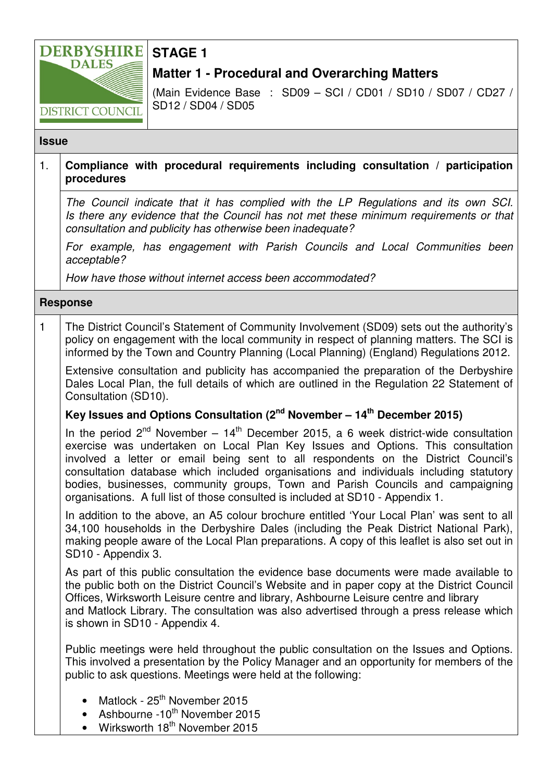

# **STAGE 1**

## **Matter 1 - Procedural and Overarching Matters**

(Main Evidence Base : SD09 – SCI / CD01 / SD10 / SD07 / CD27 / SD12 / SD04 / SD05

#### **Issue**

### 1. **Compliance with procedural requirements including consultation / participation procedures**

The Council indicate that it has complied with the LP Regulations and its own SCI. Is there any evidence that the Council has not met these minimum requirements or that consultation and publicity has otherwise been inadequate?

For example, has engagement with Parish Councils and Local Communities been acceptable?

How have those without internet access been accommodated?

#### **Response**

1 The District Council's Statement of Community Involvement (SD09) sets out the authority's policy on engagement with the local community in respect of planning matters. The SCI is informed by the Town and Country Planning (Local Planning) (England) Regulations 2012.

Extensive consultation and publicity has accompanied the preparation of the Derbyshire Dales Local Plan, the full details of which are outlined in the Regulation 22 Statement of Consultation (SD10).

## **Key Issues and Options Consultation (2nd November – 14th December 2015)**

In the period  $2^{nd}$  November –  $14^{th}$  December 2015, a 6 week district-wide consultation exercise was undertaken on Local Plan Key Issues and Options. This consultation involved a letter or email being sent to all respondents on the District Council's consultation database which included organisations and individuals including statutory bodies, businesses, community groups, Town and Parish Councils and campaigning organisations. A full list of those consulted is included at SD10 - Appendix 1.

In addition to the above, an A5 colour brochure entitled 'Your Local Plan' was sent to all 34,100 households in the Derbyshire Dales (including the Peak District National Park), making people aware of the Local Plan preparations. A copy of this leaflet is also set out in SD10 - Appendix 3.

As part of this public consultation the evidence base documents were made available to the public both on the District Council's Website and in paper copy at the District Council Offices, Wirksworth Leisure centre and library, Ashbourne Leisure centre and library and Matlock Library. The consultation was also advertised through a press release which is shown in SD10 - Appendix 4.

Public meetings were held throughout the public consultation on the Issues and Options. This involved a presentation by the Policy Manager and an opportunity for members of the public to ask questions. Meetings were held at the following:

- Matlock 25<sup>th</sup> November 2015
- Ashbourne -10<sup>th</sup> November 2015
- Wirksworth  $18<sup>th</sup>$  November 2015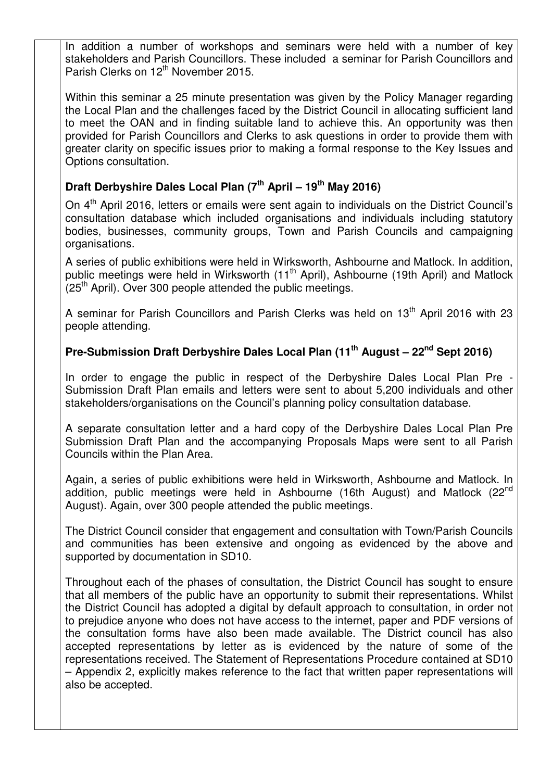In addition a number of workshops and seminars were held with a number of key stakeholders and Parish Councillors. These included a seminar for Parish Councillors and Parish Clerks on 12<sup>th</sup> November 2015.

Within this seminar a 25 minute presentation was given by the Policy Manager regarding the Local Plan and the challenges faced by the District Council in allocating sufficient land to meet the OAN and in finding suitable land to achieve this. An opportunity was then provided for Parish Councillors and Clerks to ask questions in order to provide them with greater clarity on specific issues prior to making a formal response to the Key Issues and Options consultation.

## **Draft Derbyshire Dales Local Plan (7th April – 19th May 2016)**

On 4<sup>th</sup> April 2016, letters or emails were sent again to individuals on the District Council's consultation database which included organisations and individuals including statutory bodies, businesses, community groups, Town and Parish Councils and campaigning organisations.

A series of public exhibitions were held in Wirksworth, Ashbourne and Matlock. In addition, public meetings were held in Wirksworth  $(11<sup>th</sup>$  April), Ashbourne (19th April) and Matlock  $(25<sup>th</sup>$  April). Over 300 people attended the public meetings.

A seminar for Parish Councillors and Parish Clerks was held on 13<sup>th</sup> April 2016 with 23 people attending.

### **Pre-Submission Draft Derbyshire Dales Local Plan (11 th August – 22nd Sept 2016)**

In order to engage the public in respect of the Derbyshire Dales Local Plan Pre - Submission Draft Plan emails and letters were sent to about 5,200 individuals and other stakeholders/organisations on the Council's planning policy consultation database.

A separate consultation letter and a hard copy of the Derbyshire Dales Local Plan Pre Submission Draft Plan and the accompanying Proposals Maps were sent to all Parish Councils within the Plan Area.

Again, a series of public exhibitions were held in Wirksworth, Ashbourne and Matlock. In addition, public meetings were held in Ashbourne (16th August) and Matlock (22<sup>nd</sup> August). Again, over 300 people attended the public meetings.

The District Council consider that engagement and consultation with Town/Parish Councils and communities has been extensive and ongoing as evidenced by the above and supported by documentation in SD10.

Throughout each of the phases of consultation, the District Council has sought to ensure that all members of the public have an opportunity to submit their representations. Whilst the District Council has adopted a digital by default approach to consultation, in order not to prejudice anyone who does not have access to the internet, paper and PDF versions of the consultation forms have also been made available. The District council has also accepted representations by letter as is evidenced by the nature of some of the representations received. The Statement of Representations Procedure contained at SD10 – Appendix 2, explicitly makes reference to the fact that written paper representations will also be accepted.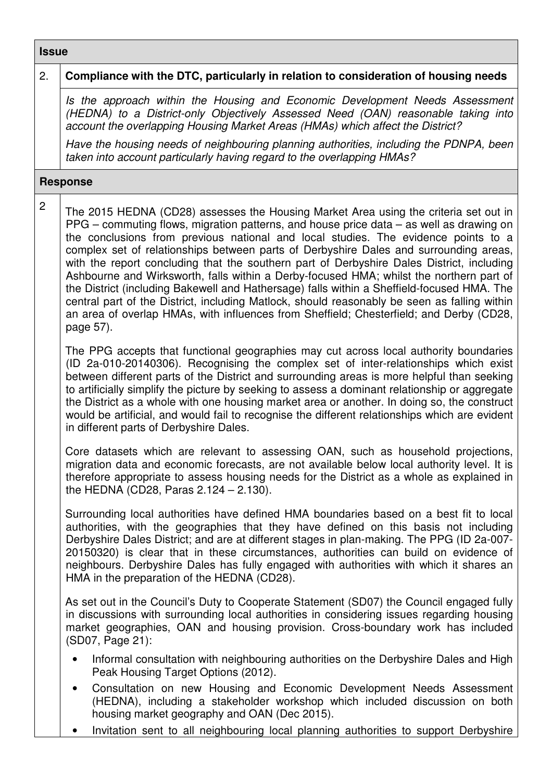## **Issue**

| 2.              | Compliance with the DTC, particularly in relation to consideration of housing needs                                                                                                                                                                                                                                                                                                                                                                                                                                                                                                                                                                                                                                                                                                                                                                          |
|-----------------|--------------------------------------------------------------------------------------------------------------------------------------------------------------------------------------------------------------------------------------------------------------------------------------------------------------------------------------------------------------------------------------------------------------------------------------------------------------------------------------------------------------------------------------------------------------------------------------------------------------------------------------------------------------------------------------------------------------------------------------------------------------------------------------------------------------------------------------------------------------|
|                 | Is the approach within the Housing and Economic Development Needs Assessment<br>(HEDNA) to a District-only Objectively Assessed Need (OAN) reasonable taking into<br>account the overlapping Housing Market Areas (HMAs) which affect the District?                                                                                                                                                                                                                                                                                                                                                                                                                                                                                                                                                                                                          |
|                 | Have the housing needs of neighbouring planning authorities, including the PDNPA, been<br>taken into account particularly having regard to the overlapping HMAs?                                                                                                                                                                                                                                                                                                                                                                                                                                                                                                                                                                                                                                                                                             |
| <b>Response</b> |                                                                                                                                                                                                                                                                                                                                                                                                                                                                                                                                                                                                                                                                                                                                                                                                                                                              |
| $\overline{c}$  | The 2015 HEDNA (CD28) assesses the Housing Market Area using the criteria set out in<br>PPG – commuting flows, migration patterns, and house price data – as well as drawing on<br>the conclusions from previous national and local studies. The evidence points to a<br>complex set of relationships between parts of Derbyshire Dales and surrounding areas,<br>with the report concluding that the southern part of Derbyshire Dales District, including<br>Ashbourne and Wirksworth, falls within a Derby-focused HMA; whilst the northern part of<br>the District (including Bakewell and Hathersage) falls within a Sheffield-focused HMA. The<br>central part of the District, including Matlock, should reasonably be seen as falling within<br>an area of overlap HMAs, with influences from Sheffield; Chesterfield; and Derby (CD28,<br>page 57). |
|                 | The PPG accepts that functional geographies may cut across local authority boundaries<br>(ID 2a-010-20140306). Recognising the complex set of inter-relationships which exist<br>between different parts of the District and surrounding areas is more helpful than seeking<br>to artificially simplify the picture by seeking to assess a dominant relationship or aggregate<br>the District as a whole with one housing market area or another. In doing so, the construct<br>would be artificial, and would fail to recognise the different relationships which are evident<br>in different parts of Derbyshire Dales.                                                                                                                                                                                                                                    |
|                 | Core datasets which are relevant to assessing OAN, such as household projections,<br>migration data and economic forecasts, are not available below local authority level. It is<br>therefore appropriate to assess housing needs for the District as a whole as explained in<br>the HEDNA (CD28, Paras $2.124 - 2.130$ ).                                                                                                                                                                                                                                                                                                                                                                                                                                                                                                                                   |
|                 | Surrounding local authorities have defined HMA boundaries based on a best fit to local<br>authorities, with the geographies that they have defined on this basis not including<br>Derbyshire Dales District; and are at different stages in plan-making. The PPG (ID 2a-007-<br>20150320) is clear that in these circumstances, authorities can build on evidence of<br>neighbours. Derbyshire Dales has fully engaged with authorities with which it shares an<br>HMA in the preparation of the HEDNA (CD28).                                                                                                                                                                                                                                                                                                                                               |
|                 | As set out in the Council's Duty to Cooperate Statement (SD07) the Council engaged fully<br>in discussions with surrounding local authorities in considering issues regarding housing<br>market geographies, OAN and housing provision. Cross-boundary work has included<br>(SD07, Page 21):                                                                                                                                                                                                                                                                                                                                                                                                                                                                                                                                                                 |
|                 | Informal consultation with neighbouring authorities on the Derbyshire Dales and High<br>$\bullet$<br>Peak Housing Target Options (2012).                                                                                                                                                                                                                                                                                                                                                                                                                                                                                                                                                                                                                                                                                                                     |
|                 | Consultation on new Housing and Economic Development Needs Assessment<br>$\bullet$<br>(HEDNA), including a stakeholder workshop which included discussion on both<br>housing market geography and OAN (Dec 2015).                                                                                                                                                                                                                                                                                                                                                                                                                                                                                                                                                                                                                                            |
|                 | Invitation sent to all neighbouring local planning authorities to support Derbyshire<br>$\bullet$                                                                                                                                                                                                                                                                                                                                                                                                                                                                                                                                                                                                                                                                                                                                                            |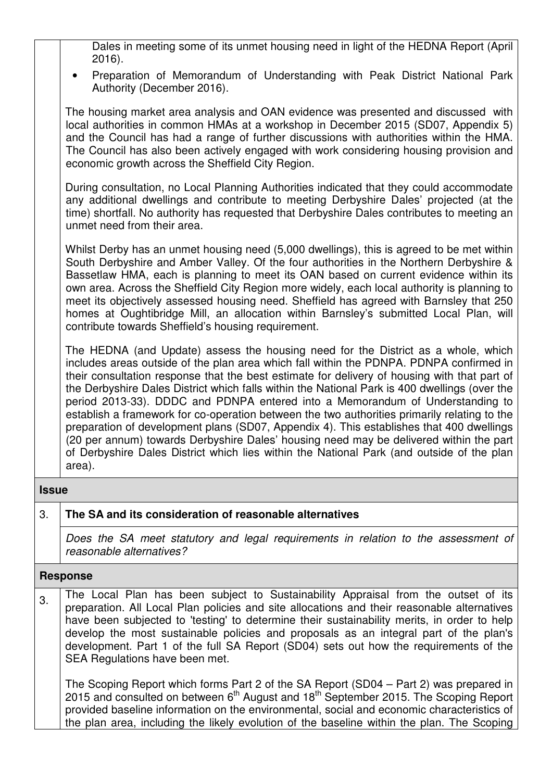Dales in meeting some of its unmet housing need in light of the HEDNA Report (April 2016).

• Preparation of Memorandum of Understanding with Peak District National Park Authority (December 2016).

The housing market area analysis and OAN evidence was presented and discussed with local authorities in common HMAs at a workshop in December 2015 (SD07, Appendix 5) and the Council has had a range of further discussions with authorities within the HMA. The Council has also been actively engaged with work considering housing provision and economic growth across the Sheffield City Region.

During consultation, no Local Planning Authorities indicated that they could accommodate any additional dwellings and contribute to meeting Derbyshire Dales' projected (at the time) shortfall. No authority has requested that Derbyshire Dales contributes to meeting an unmet need from their area.

Whilst Derby has an unmet housing need (5,000 dwellings), this is agreed to be met within South Derbyshire and Amber Valley. Of the four authorities in the Northern Derbyshire & Bassetlaw HMA, each is planning to meet its OAN based on current evidence within its own area. Across the Sheffield City Region more widely, each local authority is planning to meet its objectively assessed housing need. Sheffield has agreed with Barnsley that 250 homes at Oughtibridge Mill, an allocation within Barnsley's submitted Local Plan, will contribute towards Sheffield's housing requirement.

The HEDNA (and Update) assess the housing need for the District as a whole, which includes areas outside of the plan area which fall within the PDNPA. PDNPA confirmed in their consultation response that the best estimate for delivery of housing with that part of the Derbyshire Dales District which falls within the National Park is 400 dwellings (over the period 2013-33). DDDC and PDNPA entered into a Memorandum of Understanding to establish a framework for co-operation between the two authorities primarily relating to the preparation of development plans (SD07, Appendix 4). This establishes that 400 dwellings (20 per annum) towards Derbyshire Dales' housing need may be delivered within the part of Derbyshire Dales District which lies within the National Park (and outside of the plan area).

#### **Issue**

### 3. **The SA and its consideration of reasonable alternatives**

Does the SA meet statutory and legal requirements in relation to the assessment of reasonable alternatives?

#### **Response**

3. The Local Plan has been subject to Sustainability Appraisal from the outset of its preparation. All Local Plan policies and site allocations and their reasonable alternatives have been subjected to 'testing' to determine their sustainability merits, in order to help develop the most sustainable policies and proposals as an integral part of the plan's development. Part 1 of the full SA Report (SD04) sets out how the requirements of the SEA Regulations have been met.

The Scoping Report which forms Part 2 of the SA Report (SD04 – Part 2) was prepared in 2015 and consulted on between 6<sup>th</sup> August and 18<sup>th</sup> September 2015. The Scoping Report provided baseline information on the environmental, social and economic characteristics of the plan area, including the likely evolution of the baseline within the plan. The Scoping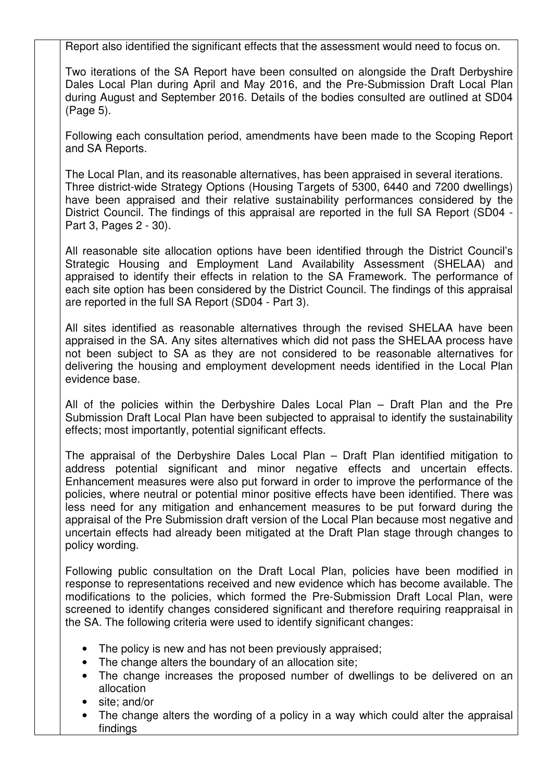Report also identified the significant effects that the assessment would need to focus on.

Two iterations of the SA Report have been consulted on alongside the Draft Derbyshire Dales Local Plan during April and May 2016, and the Pre-Submission Draft Local Plan during August and September 2016. Details of the bodies consulted are outlined at SD04 (Page 5).

Following each consultation period, amendments have been made to the Scoping Report and SA Reports.

The Local Plan, and its reasonable alternatives, has been appraised in several iterations. Three district-wide Strategy Options (Housing Targets of 5300, 6440 and 7200 dwellings) have been appraised and their relative sustainability performances considered by the District Council. The findings of this appraisal are reported in the full SA Report (SD04 - Part 3, Pages 2 - 30).

All reasonable site allocation options have been identified through the District Council's Strategic Housing and Employment Land Availability Assessment (SHELAA) and appraised to identify their effects in relation to the SA Framework. The performance of each site option has been considered by the District Council. The findings of this appraisal are reported in the full SA Report (SD04 - Part 3).

All sites identified as reasonable alternatives through the revised SHELAA have been appraised in the SA. Any sites alternatives which did not pass the SHELAA process have not been subject to SA as they are not considered to be reasonable alternatives for delivering the housing and employment development needs identified in the Local Plan evidence base.

All of the policies within the Derbyshire Dales Local Plan – Draft Plan and the Pre Submission Draft Local Plan have been subjected to appraisal to identify the sustainability effects; most importantly, potential significant effects.

The appraisal of the Derbyshire Dales Local Plan – Draft Plan identified mitigation to address potential significant and minor negative effects and uncertain effects. Enhancement measures were also put forward in order to improve the performance of the policies, where neutral or potential minor positive effects have been identified. There was less need for any mitigation and enhancement measures to be put forward during the appraisal of the Pre Submission draft version of the Local Plan because most negative and uncertain effects had already been mitigated at the Draft Plan stage through changes to policy wording.

Following public consultation on the Draft Local Plan, policies have been modified in response to representations received and new evidence which has become available. The modifications to the policies, which formed the Pre-Submission Draft Local Plan, were screened to identify changes considered significant and therefore requiring reappraisal in the SA. The following criteria were used to identify significant changes:

- The policy is new and has not been previously appraised;
- The change alters the boundary of an allocation site;
- The change increases the proposed number of dwellings to be delivered on an allocation
- site; and/or
- The change alters the wording of a policy in a way which could alter the appraisal findings